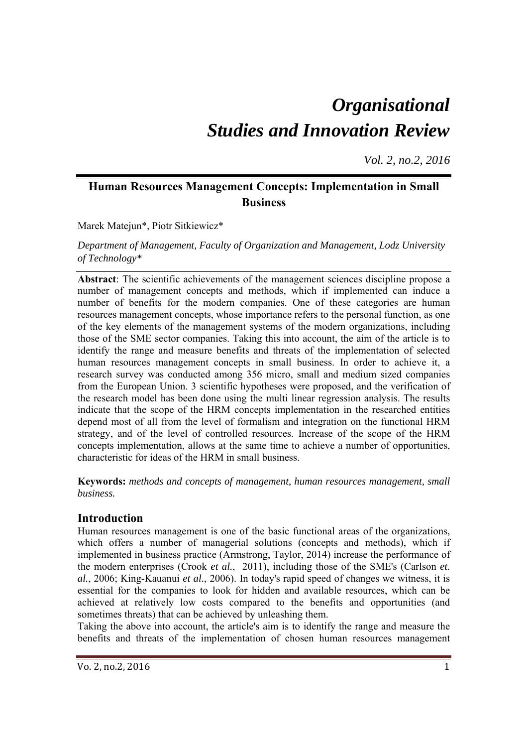# *Organisational Studies and Innovation Review*

*Vol. 2, no.2, 2016*

## **Human Resources Management Concepts: Implementation in Small Business**

Marek Matejun\*, Piotr Sitkiewicz\*

*Department of Management, Faculty of Organization and Management, Lodz University of Technology\** 

**Abstract**: The scientific achievements of the management sciences discipline propose a number of management concepts and methods, which if implemented can induce a number of benefits for the modern companies. One of these categories are human resources management concepts, whose importance refers to the personal function, as one of the key elements of the management systems of the modern organizations, including those of the SME sector companies. Taking this into account, the aim of the article is to identify the range and measure benefits and threats of the implementation of selected human resources management concepts in small business. In order to achieve it, a research survey was conducted among 356 micro, small and medium sized companies from the European Union. 3 scientific hypotheses were proposed, and the verification of the research model has been done using the multi linear regression analysis. The results indicate that the scope of the HRM concepts implementation in the researched entities depend most of all from the level of formalism and integration on the functional HRM strategy, and of the level of controlled resources. Increase of the scope of the HRM concepts implementation, allows at the same time to achieve a number of opportunities, characteristic for ideas of the HRM in small business.

**Keywords:** *methods and concepts of management, human resources management, small business.* 

### **Introduction**

Human resources management is one of the basic functional areas of the organizations, which offers a number of managerial solutions (concepts and methods), which if implemented in business practice (Armstrong, Taylor, 2014) increase the performance of the modern enterprises (Crook *et al.*, 2011), including those of the SME's (Carlson *et. al.*, 2006; King-Kauanui *et al.*, 2006). In today's rapid speed of changes we witness, it is essential for the companies to look for hidden and available resources, which can be achieved at relatively low costs compared to the benefits and opportunities (and sometimes threats) that can be achieved by unleashing them.

Taking the above into account, the article's aim is to identify the range and measure the benefits and threats of the implementation of chosen human resources management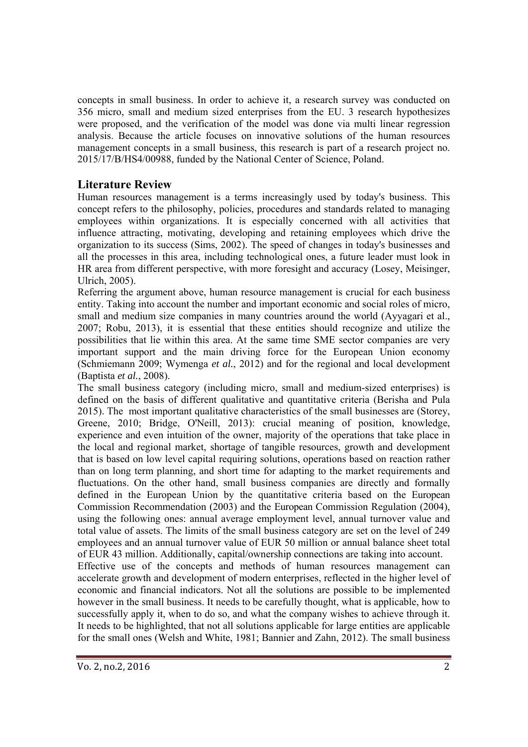concepts in small business. In order to achieve it, a research survey was conducted on 356 micro, small and medium sized enterprises from the EU. 3 research hypothesizes were proposed, and the verification of the model was done via multi linear regression analysis. Because the article focuses on innovative solutions of the human resources management concepts in a small business, this research is part of a research project no. 2015/17/B/HS4/00988, funded by the National Center of Science, Poland.

## **Literature Review**

Human resources management is a terms increasingly used by today's business. This concept refers to the philosophy, policies, procedures and standards related to managing employees within organizations. It is especially concerned with all activities that influence attracting, motivating, developing and retaining employees which drive the organization to its success (Sims, 2002). The speed of changes in today's businesses and all the processes in this area, including technological ones, a future leader must look in HR area from different perspective, with more foresight and accuracy (Losey, Meisinger, Ulrich, 2005).

Referring the argument above, human resource management is crucial for each business entity. Taking into account the number and important economic and social roles of micro, small and medium size companies in many countries around the world (Ayyagari et al., 2007; Robu, 2013), it is essential that these entities should recognize and utilize the possibilities that lie within this area. At the same time SME sector companies are very important support and the main driving force for the European Union economy (Schmiemann 2009; Wymenga *et al.*, 2012) and for the regional and local development (Baptista *et al.*, 2008).

The small business category (including micro, small and medium-sized enterprises) is defined on the basis of different qualitative and quantitative criteria (Berisha and Pula 2015). The most important qualitative characteristics of the small businesses are (Storey, Greene, 2010; Bridge, O'Neill, 2013): crucial meaning of position, knowledge, experience and even intuition of the owner, majority of the operations that take place in the local and regional market, shortage of tangible resources, growth and development that is based on low level capital requiring solutions, operations based on reaction rather than on long term planning, and short time for adapting to the market requirements and fluctuations. On the other hand, small business companies are directly and formally defined in the European Union by the quantitative criteria based on the European Commission Recommendation (2003) and the European Commission Regulation (2004), using the following ones: annual average employment level, annual turnover value and total value of assets. The limits of the small business category are set on the level of 249 employees and an annual turnover value of EUR 50 million or annual balance sheet total of EUR 43 million. Additionally, capital/ownership connections are taking into account.

Effective use of the concepts and methods of human resources management can accelerate growth and development of modern enterprises, reflected in the higher level of economic and financial indicators. Not all the solutions are possible to be implemented however in the small business. It needs to be carefully thought, what is applicable, how to successfully apply it, when to do so, and what the company wishes to achieve through it. It needs to be highlighted, that not all solutions applicable for large entities are applicable for the small ones (Welsh and White, 1981; Bannier and Zahn, 2012). The small business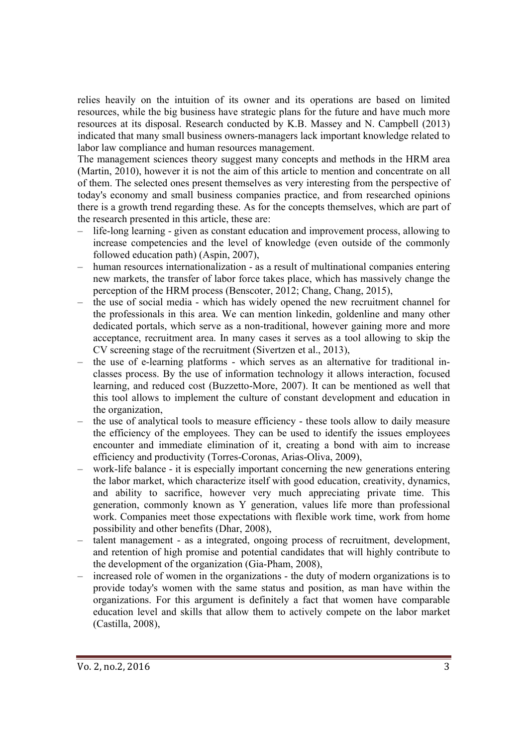relies heavily on the intuition of its owner and its operations are based on limited resources, while the big business have strategic plans for the future and have much more resources at its disposal. Research conducted by K.B. Massey and N. Campbell (2013) indicated that many small business owners-managers lack important knowledge related to labor law compliance and human resources management.

The management sciences theory suggest many concepts and methods in the HRM area (Martin, 2010), however it is not the aim of this article to mention and concentrate on all of them. The selected ones present themselves as very interesting from the perspective of today's economy and small business companies practice, and from researched opinions there is a growth trend regarding these. As for the concepts themselves, which are part of the research presented in this article, these are:

- life-long learning given as constant education and improvement process, allowing to increase competencies and the level of knowledge (even outside of the commonly followed education path) (Aspin, 2007),
- human resources internationalization as a result of multinational companies entering new markets, the transfer of labor force takes place, which has massively change the perception of the HRM process (Benscoter, 2012; Chang, Chang, 2015),
- the use of social media which has widely opened the new recruitment channel for the professionals in this area. We can mention linkedin, goldenline and many other dedicated portals, which serve as a non-traditional, however gaining more and more acceptance, recruitment area. In many cases it serves as a tool allowing to skip the CV screening stage of the recruitment (Sivertzen et al., 2013),
- the use of e-learning platforms which serves as an alternative for traditional inclasses process. By the use of information technology it allows interaction, focused learning, and reduced cost (Buzzetto-More, 2007). It can be mentioned as well that this tool allows to implement the culture of constant development and education in the organization,
- the use of analytical tools to measure efficiency these tools allow to daily measure the efficiency of the employees. They can be used to identify the issues employees encounter and immediate elimination of it, creating a bond with aim to increase efficiency and productivity (Torres-Coronas, Arias-Oliva, 2009),
- work-life balance it is especially important concerning the new generations entering the labor market, which characterize itself with good education, creativity, dynamics, and ability to sacrifice, however very much appreciating private time. This generation, commonly known as Y generation, values life more than professional work. Companies meet those expectations with flexible work time, work from home possibility and other benefits (Dhar, 2008),
- talent management as a integrated, ongoing process of recruitment, development, and retention of high promise and potential candidates that will highly contribute to the development of the organization (Gia-Pham, 2008),
- increased role of women in the organizations the duty of modern organizations is to provide today's women with the same status and position, as man have within the organizations. For this argument is definitely a fact that women have comparable education level and skills that allow them to actively compete on the labor market (Castilla, 2008),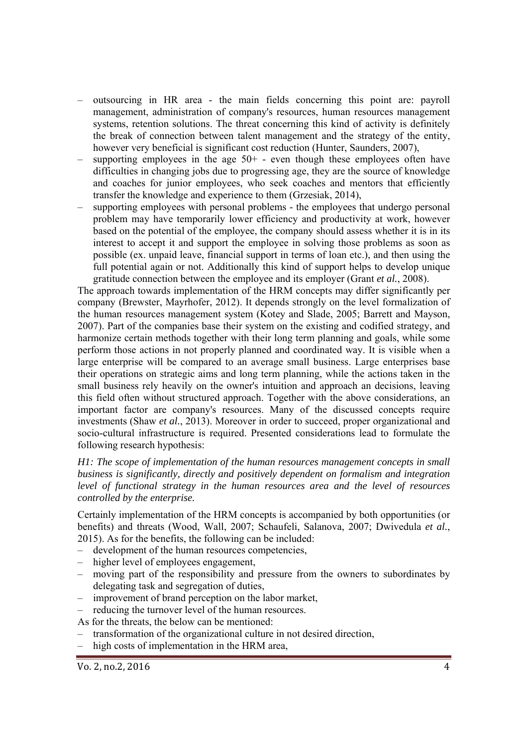- outsourcing in HR area the main fields concerning this point are: payroll management, administration of company's resources, human resources management systems, retention solutions. The threat concerning this kind of activity is definitely the break of connection between talent management and the strategy of the entity, however very beneficial is significant cost reduction (Hunter, Saunders, 2007),
- supporting employees in the age  $50<sup>+</sup>$  even though these employees often have difficulties in changing jobs due to progressing age, they are the source of knowledge and coaches for junior employees, who seek coaches and mentors that efficiently transfer the knowledge and experience to them (Grzesiak, 2014),
- supporting employees with personal problems the employees that undergo personal problem may have temporarily lower efficiency and productivity at work, however based on the potential of the employee, the company should assess whether it is in its interest to accept it and support the employee in solving those problems as soon as possible (ex. unpaid leave, financial support in terms of loan etc.), and then using the full potential again or not. Additionally this kind of support helps to develop unique gratitude connection between the employee and its employer (Grant *et al.*, 2008).

The approach towards implementation of the HRM concepts may differ significantly per company (Brewster, Mayrhofer, 2012). It depends strongly on the level formalization of the human resources management system (Kotey and Slade, 2005; Barrett and Mayson, 2007). Part of the companies base their system on the existing and codified strategy, and harmonize certain methods together with their long term planning and goals, while some perform those actions in not properly planned and coordinated way. It is visible when a large enterprise will be compared to an average small business. Large enterprises base their operations on strategic aims and long term planning, while the actions taken in the small business rely heavily on the owner's intuition and approach an decisions, leaving this field often without structured approach. Together with the above considerations, an important factor are company's resources. Many of the discussed concepts require investments (Shaw *et al.*, 2013). Moreover in order to succeed, proper organizational and socio-cultural infrastructure is required. Presented considerations lead to formulate the following research hypothesis:

*H1: The scope of implementation of the human resources management concepts in small business is significantly, directly and positively dependent on formalism and integration level of functional strategy in the human resources area and the level of resources controlled by the enterprise.* 

Certainly implementation of the HRM concepts is accompanied by both opportunities (or benefits) and threats (Wood, Wall, 2007; Schaufeli, Salanova, 2007; Dwivedula *et al.*, 2015). As for the benefits, the following can be included:

- development of the human resources competencies,
- higher level of employees engagement,
- moving part of the responsibility and pressure from the owners to subordinates by delegating task and segregation of duties,
- improvement of brand perception on the labor market,
- reducing the turnover level of the human resources.
- As for the threats, the below can be mentioned:
- transformation of the organizational culture in not desired direction,
- high costs of implementation in the HRM area,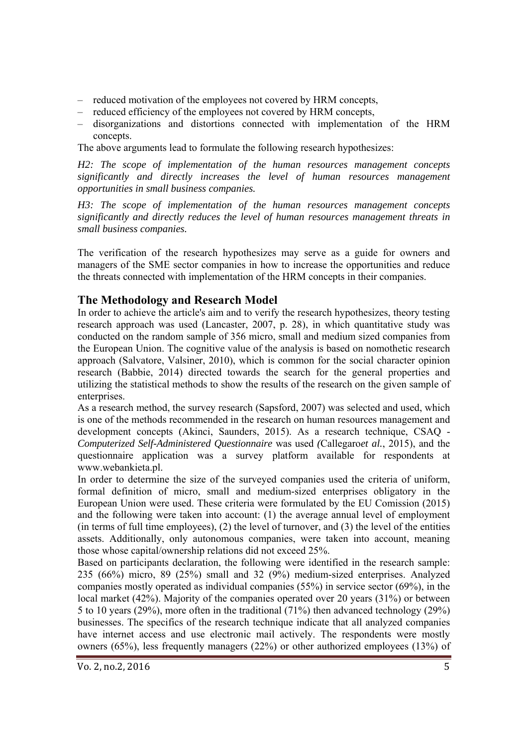- reduced motivation of the employees not covered by HRM concepts,
- reduced efficiency of the employees not covered by HRM concepts,
- disorganizations and distortions connected with implementation of the HRM concepts.

The above arguments lead to formulate the following research hypothesizes:

*H2: The scope of implementation of the human resources management concepts significantly and directly increases the level of human resources management opportunities in small business companies.* 

*H3: The scope of implementation of the human resources management concepts significantly and directly reduces the level of human resources management threats in small business companies.* 

The verification of the research hypothesizes may serve as a guide for owners and managers of the SME sector companies in how to increase the opportunities and reduce the threats connected with implementation of the HRM concepts in their companies.

### **The Methodology and Research Model**

In order to achieve the article's aim and to verify the research hypothesizes, theory testing research approach was used (Lancaster, 2007, p. 28), in which quantitative study was conducted on the random sample of 356 micro, small and medium sized companies from the European Union. The cognitive value of the analysis is based on nomothetic research approach (Salvatore, Valsiner, 2010), which is common for the social character opinion research (Babbie, 2014) directed towards the search for the general properties and utilizing the statistical methods to show the results of the research on the given sample of enterprises.

As a research method, the survey research (Sapsford, 2007) was selected and used, which is one of the methods recommended in the research on human resources management and development concepts (Akinci, Saunders, 2015). As a research technique, CSAQ - *Computerized Self-Administered Questionnaire* was used *(*Callegaro*et al.*, 2015), and the questionnaire application was a survey platform available for respondents at www.webankieta.pl.

In order to determine the size of the surveyed companies used the criteria of uniform, formal definition of micro, small and medium-sized enterprises obligatory in the European Union were used. These criteria were formulated by the EU Comission (2015) and the following were taken into account: (1) the average annual level of employment (in terms of full time employees), (2) the level of turnover, and (3) the level of the entities assets. Additionally, only autonomous companies, were taken into account, meaning those whose capital/ownership relations did not exceed 25%.

Based on participants declaration, the following were identified in the research sample: 235 (66%) micro, 89 (25%) small and 32 (9%) medium-sized enterprises. Analyzed companies mostly operated as individual companies (55%) in service sector (69%), in the local market (42%). Majority of the companies operated over 20 years (31%) or between 5 to 10 years (29%), more often in the traditional (71%) then advanced technology (29%) businesses. The specifics of the research technique indicate that all analyzed companies have internet access and use electronic mail actively. The respondents were mostly owners (65%), less frequently managers (22%) or other authorized employees (13%) of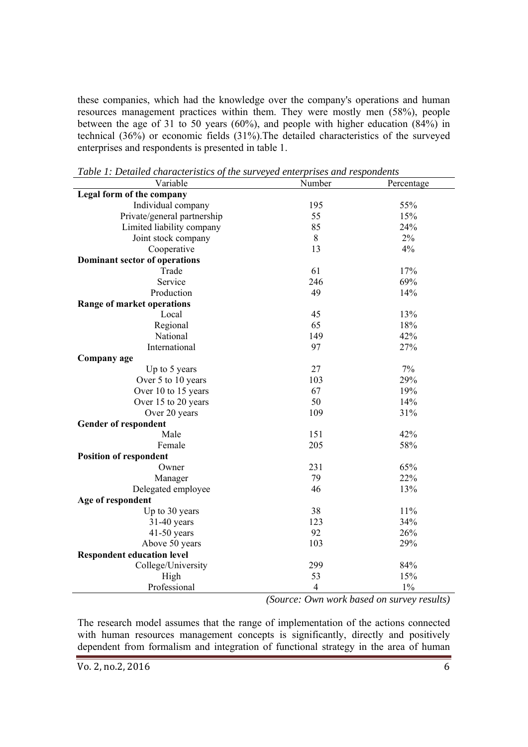these companies, which had the knowledge over the company's operations and human resources management practices within them. They were mostly men (58%), people between the age of 31 to 50 years (60%), and people with higher education (84%) in technical (36%) or economic fields (31%).The detailed characteristics of the surveyed enterprises and respondents is presented in table 1.

| Variable                          | Number         | Percentage |
|-----------------------------------|----------------|------------|
| Legal form of the company         |                |            |
| Individual company                | 195            | 55%        |
| Private/general partnership       | 55             | 15%        |
| Limited liability company         | 85             | 24%        |
| Joint stock company               | $\,8\,$        | 2%         |
| Cooperative                       | 13             | 4%         |
| Dominant sector of operations     |                |            |
| Trade                             | 61             | 17%        |
| Service                           | 246            | 69%        |
| Production                        | 49             | 14%        |
| Range of market operations        |                |            |
| Local                             | 45             | 13%        |
| Regional                          | 65             | 18%        |
| National                          | 149            | 42%        |
| International                     | 97             | 27%        |
| Company age                       |                |            |
| Up to 5 years                     | 27             | 7%         |
| Over 5 to 10 years                | 103            | 29%        |
| Over 10 to 15 years               | 67             | 19%        |
| Over 15 to 20 years               | 50             | 14%        |
| Over 20 years                     | 109            | 31%        |
| <b>Gender of respondent</b>       |                |            |
| Male                              | 151            | 42%        |
| Female                            | 205            | 58%        |
| <b>Position of respondent</b>     |                |            |
| Owner                             | 231            | 65%        |
| Manager                           | 79             | 22%        |
| Delegated employee                | 46             | 13%        |
| Age of respondent                 |                |            |
| Up to 30 years                    | 38             | 11%        |
| 31-40 years                       | 123            | 34%        |
| $41-50$ years                     | 92             | 26%        |
| Above 50 years                    | 103            | 29%        |
| <b>Respondent education level</b> |                |            |
| College/University                | 299            | 84%        |
| High                              | 53             | 15%        |
| Professional                      | $\overline{4}$ | $1\%$      |

*Table 1: Detailed characteristics of the surveyed enterprises and respondents* 

 *(Source: Own work based on survey results)* 

The research model assumes that the range of implementation of the actions connected with human resources management concepts is significantly, directly and positively dependent from formalism and integration of functional strategy in the area of human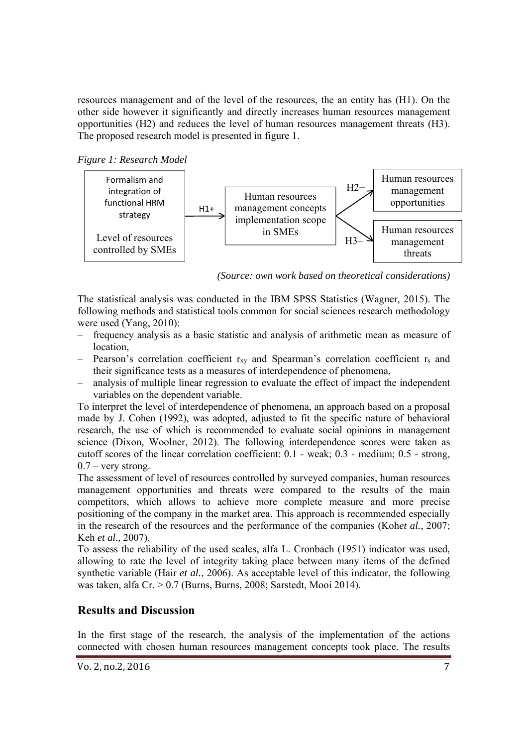resources management and of the level of the resources, the an entity has (H1). On the other side however it significantly and directly increases human resources management opportunities (H2) and reduces the level of human resources management threats (H3). The proposed research model is presented in figure 1.

*Figure 1: Research Model* 



*(Source: own work based on theoretical considerations)* 

The statistical analysis was conducted in the IBM SPSS Statistics (Wagner, 2015). The following methods and statistical tools common for social sciences research methodology were used (Yang, 2010):

- frequency analysis as a basic statistic and analysis of arithmetic mean as measure of location,
- Pearson's correlation coefficient r<sub>xy</sub> and Spearman's correlation coefficient r<sub>s</sub> and their significance tests as a measures of interdependence of phenomena,
- analysis of multiple linear regression to evaluate the effect of impact the independent variables on the dependent variable.

To interpret the level of interdependence of phenomena, an approach based on a proposal made by J. Cohen (1992), was adopted, adjusted to fit the specific nature of behavioral research, the use of which is recommended to evaluate social opinions in management science (Dixon, Woolner, 2012). The following interdependence scores were taken as cutoff scores of the linear correlation coefficient: 0.1 - weak; 0.3 - medium; 0.5 - strong,  $0.7 -$  very strong.

The assessment of level of resources controlled by surveyed companies, human resources management opportunities and threats were compared to the results of the main competitors, which allows to achieve more complete measure and more precise positioning of the company in the market area. This approach is recommended especially in the research of the resources and the performance of the companies (Koh*et al.*, 2007; Keh *et al.*, 2007).

To assess the reliability of the used scales, alfa L. Cronbach (1951) indicator was used, allowing to rate the level of integrity taking place between many items of the defined synthetic variable (Hair *et al.*, 2006). As acceptable level of this indicator, the following was taken, alfa Cr. > 0.7 (Burns, Burns, 2008; Sarstedt, Mooi 2014).

## **Results and Discussion**

In the first stage of the research, the analysis of the implementation of the actions connected with chosen human resources management concepts took place. The results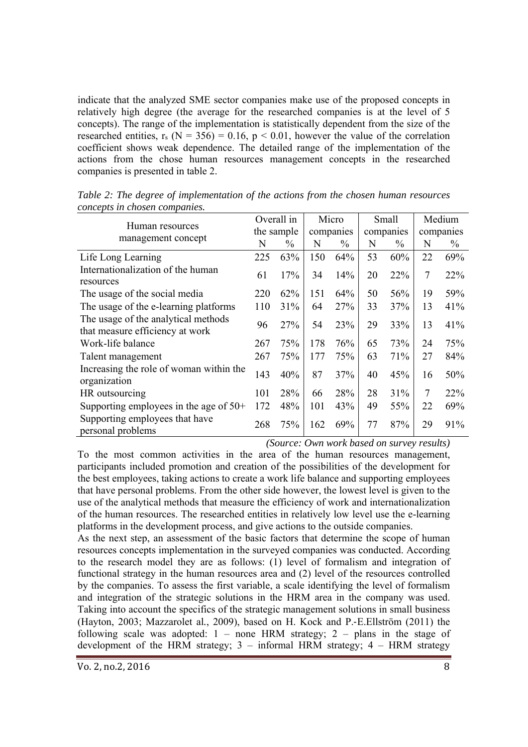indicate that the analyzed SME sector companies make use of the proposed concepts in relatively high degree (the average for the researched companies is at the level of 5 concepts). The range of the implementation is statistically dependent from the size of the researched entities,  $r_s$  (N = 356) = 0.16, p < 0.01, however the value of the correlation coefficient shows weak dependence. The detailed range of the implementation of the actions from the chose human resources management concepts in the researched companies is presented in table 2.

| Human resources                                                        |            | Overall in    |           | Micro |           | Small         |           | Medium        |  |
|------------------------------------------------------------------------|------------|---------------|-----------|-------|-----------|---------------|-----------|---------------|--|
| management concept                                                     | the sample |               | companies |       | companies |               | companies |               |  |
|                                                                        | N          | $\frac{0}{0}$ | N         | $\%$  | N         | $\frac{0}{0}$ | N         | $\frac{0}{0}$ |  |
| Life Long Learning                                                     | 225        | 63%           | 150       | 64%   | 53        | 60%           | 22        | 69%           |  |
| Internationalization of the human<br>resources                         | 61         | 17%           | 34        | 14%   | 20        | 22%           | 7         | 22%           |  |
| The usage of the social media                                          | 220        | 62%           | 151       | 64%   | 50        | 56%           | 19        | 59%           |  |
| The usage of the e-learning platforms                                  | 110        | 31%           | 64        | 27%   | 33        | 37%           | 13        | 41%           |  |
| The usage of the analytical methods<br>that measure efficiency at work | 96         | 27%           | 54        | 23%   | 29        | 33%           | 13        | 41%           |  |
| Work-life balance                                                      | 267        | 75%           | 178       | 76%   | 65        | 73%           | 24        | 75%           |  |
| Talent management                                                      | 267        | 75%           | 177       | 75%   | 63        | 71%           | 27        | 84%           |  |
| Increasing the role of woman within the<br>organization                | 143        | 40%           | 87        | 37%   | 40        | 45%           | 16        | 50%           |  |
| HR outsourcing                                                         | 101        | 28%           | 66        | 28%   | 28        | 31%           | 7         | 22%           |  |
| Supporting employees in the age of $50+$                               | 172        | 48%           | 101       | 43%   | 49        | 55%           | 22        | 69%           |  |
| Supporting employees that have<br>personal problems                    | 268        | 75%           | 162       | 69%   | 77        | 87%           | 29        | 91%           |  |

*Table 2: The degree of implementation of the actions from the chosen human resources concepts in chosen companies.* 

*(Source: Own work based on survey results)* 

To the most common activities in the area of the human resources management, participants included promotion and creation of the possibilities of the development for the best employees, taking actions to create a work life balance and supporting employees that have personal problems. From the other side however, the lowest level is given to the use of the analytical methods that measure the efficiency of work and internationalization of the human resources. The researched entities in relatively low level use the e-learning platforms in the development process, and give actions to the outside companies.

As the next step, an assessment of the basic factors that determine the scope of human resources concepts implementation in the surveyed companies was conducted. According to the research model they are as follows: (1) level of formalism and integration of functional strategy in the human resources area and (2) level of the resources controlled by the companies. To assess the first variable, a scale identifying the level of formalism and integration of the strategic solutions in the HRM area in the company was used. Taking into account the specifics of the strategic management solutions in small business (Hayton, 2003; Mazzarolet al*.*, 2009), based on H. Kock and P.‐E.Ellström (2011) the following scale was adopted:  $1 -$  none HRM strategy;  $2 -$  plans in the stage of development of the HRM strategy;  $3 -$  informal HRM strategy;  $4 -$  HRM strategy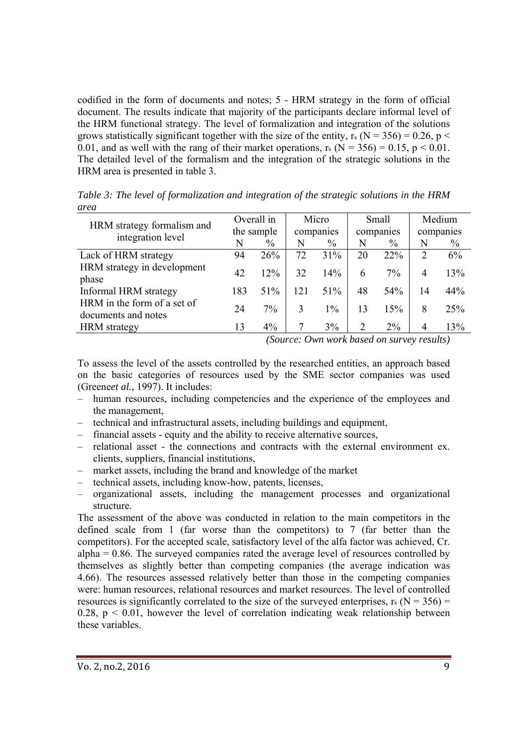codified in the form of documents and notes; 5 - HRM strategy in the form of official document. The results indicate that majority of the participants declare informal level of the HRM functional strategy. The level of formalization and integration of the solutions grows statistically significant together with the size of the entity,  $r_s$  (N = 356) = 0.26, p < 0.01, and as well with the rang of their market operations,  $r_s$  (N = 356) = 0.15, p < 0.01. The detailed level of the formalism and the integration of the strategic solutions in the HRM area is presented in table 3.

|                                                    | Overall in |       | Micro     |               | Small                       |       | Medium         |      |
|----------------------------------------------------|------------|-------|-----------|---------------|-----------------------------|-------|----------------|------|
| HRM strategy formalism and                         | the sample |       | companies |               | companies                   |       | companies      |      |
| integration level                                  | N          | $\%$  | N         | $\frac{0}{0}$ | N                           | $\%$  | N              | $\%$ |
| Lack of HRM strategy                               | 94         | 26%   | 72        | 31%           | 20                          | 22%   | $\overline{2}$ | 6%   |
| HRM strategy in development<br>phase               | 42         | 12%   | 32        | 14%           | 6                           | 7%    | 4              | 13%  |
| Informal HRM strategy                              | 183        | 51%   | 121       | 51%           | 48                          | 54%   | 14             | 44%  |
| HRM in the form of a set of<br>documents and notes | 24         | $7\%$ | 3         | $1\%$         | 13                          | 15%   | 8              | 25%  |
| <b>HRM</b> strategy                                | 13         | $4\%$ |           | 3%            | $\mathcal{D}_{\mathcal{L}}$ | $2\%$ | 4              | 13%  |

*Table 3: The level of formalization and integration of the strategic solutions in the HRM area* 

*(Source: Own work based on survey results)* 

To assess the level of the assets controlled by the researched entities, an approach based on the basic categories of resources used by the SME sector companies was used (Greene*et al.*, 1997). It includes:

- human resources, including competencies and the experience of the employees and the management,
- technical and infrastructural assets, including buildings and equipment,
- financial assets equity and the ability to receive alternative sources,
- relational asset the connections and contracts with the external environment ex. clients, suppliers, financial institutions,
- market assets, including the brand and knowledge of the market
- technical assets, including know-how, patents, licenses,
- organizational assets, including the management processes and organizational structure.

The assessment of the above was conducted in relation to the main competitors in the defined scale from 1 (far worse than the competitors) to 7 (far better than the competitors). For the accepted scale, satisfactory level of the alfa factor was achieved, Cr.  $alpha = 0.86$ . The surveyed companies rated the average level of resources controlled by themselves as slightly better than competing companies (the average indication was 4.66). The resources assessed relatively better than those in the competing companies were: human resources, relational resources and market resources. The level of controlled resources is significantly correlated to the size of the surveyed enterprises,  $r_s$  (N = 356) = 0.28,  $p < 0.01$ , however the level of correlation indicating weak relationship between these variables.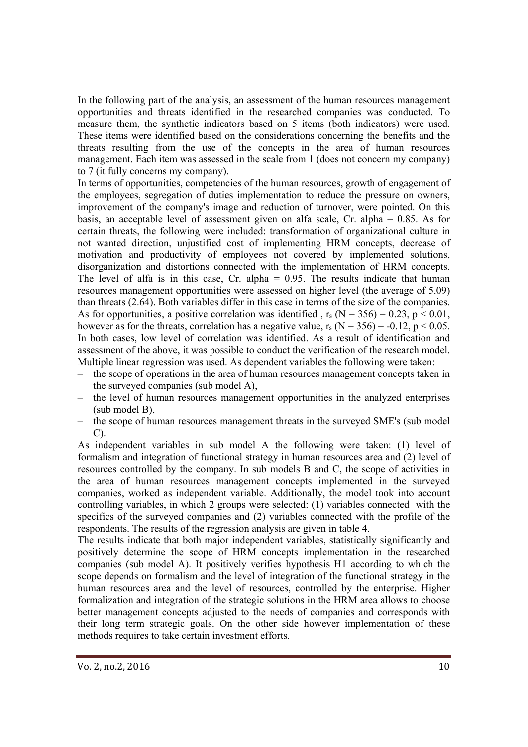In the following part of the analysis, an assessment of the human resources management opportunities and threats identified in the researched companies was conducted. To measure them, the synthetic indicators based on 5 items (both indicators) were used. These items were identified based on the considerations concerning the benefits and the threats resulting from the use of the concepts in the area of human resources management. Each item was assessed in the scale from 1 (does not concern my company) to 7 (it fully concerns my company).

In terms of opportunities, competencies of the human resources, growth of engagement of the employees, segregation of duties implementation to reduce the pressure on owners, improvement of the company's image and reduction of turnover, were pointed. On this basis, an acceptable level of assessment given on alfa scale, Cr. alpha = 0.85. As for certain threats, the following were included: transformation of organizational culture in not wanted direction, unjustified cost of implementing HRM concepts, decrease of motivation and productivity of employees not covered by implemented solutions, disorganization and distortions connected with the implementation of HRM concepts. The level of alfa is in this case,  $Cr.$  alpha = 0.95. The results indicate that human resources management opportunities were assessed on higher level (the average of 5.09) than threats (2.64). Both variables differ in this case in terms of the size of the companies. As for opportunities, a positive correlation was identified,  $r_s$  (N = 356) = 0.23, p < 0.01, however as for the threats, correlation has a negative value,  $r_s (N = 356) = -0.12$ ,  $p < 0.05$ . In both cases, low level of correlation was identified. As a result of identification and assessment of the above, it was possible to conduct the verification of the research model. Multiple linear regression was used. As dependent variables the following were taken:

- the scope of operations in the area of human resources management concepts taken in the surveyed companies (sub model A),
- the level of human resources management opportunities in the analyzed enterprises (sub model B),
- the scope of human resources management threats in the surveyed SME's (sub model C).

As independent variables in sub model A the following were taken: (1) level of formalism and integration of functional strategy in human resources area and (2) level of resources controlled by the company. In sub models B and C, the scope of activities in the area of human resources management concepts implemented in the surveyed companies, worked as independent variable. Additionally, the model took into account controlling variables, in which 2 groups were selected: (1) variables connected with the specifics of the surveyed companies and (2) variables connected with the profile of the respondents. The results of the regression analysis are given in table 4.

The results indicate that both major independent variables, statistically significantly and positively determine the scope of HRM concepts implementation in the researched companies (sub model A). It positively verifies hypothesis H1 according to which the scope depends on formalism and the level of integration of the functional strategy in the human resources area and the level of resources, controlled by the enterprise. Higher formalization and integration of the strategic solutions in the HRM area allows to choose better management concepts adjusted to the needs of companies and corresponds with their long term strategic goals. On the other side however implementation of these methods requires to take certain investment efforts.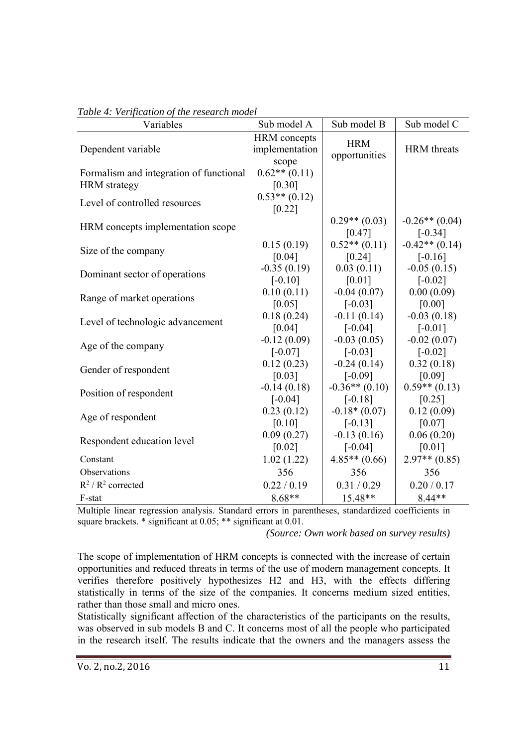| Variables                                                      | Sub model A                                    | Sub model B                 | Sub model C                   |  |
|----------------------------------------------------------------|------------------------------------------------|-----------------------------|-------------------------------|--|
| Dependent variable                                             | <b>HRM</b> concepts<br>implementation<br>scope | <b>HRM</b><br>opportunities | <b>HRM</b> threats            |  |
| Formalism and integration of functional<br><b>HRM</b> strategy | $0.62**$ $(0.11)$<br>[0.30]                    |                             |                               |  |
| Level of controlled resources                                  | $0.53**$ (0.12)<br>[0.22]                      |                             |                               |  |
| HRM concepts implementation scope                              |                                                | $0.29**$ (0.03)<br>[0.47]   | $-0.26**$ (0.04)<br>$[-0.34]$ |  |
| Size of the company                                            | 0.15(0.19)                                     | $0.52**$ (0.11)             | $-0.42**$ (0.14)              |  |
|                                                                | [0.04]                                         | [0.24]                      | $[-0.16]$                     |  |
| Dominant sector of operations                                  | $-0.35(0.19)$                                  | 0.03(0.11)                  | $-0.05(0.15)$                 |  |
|                                                                | $[-0.10]$                                      | [0.01]                      | $[-0.02]$                     |  |
| Range of market operations                                     | 0.10(0.11)                                     | $-0.04(0.07)$               | 0.00(0.09)                    |  |
|                                                                | [0.05]                                         | $[-0.03]$                   | [0.00]                        |  |
| Level of technologic advancement                               | 0.18(0.24)                                     | $-0.11(0.14)$               | $-0.03(0.18)$                 |  |
|                                                                | [0.04]                                         | $[-0.04]$                   | $[-0.01]$                     |  |
| Age of the company                                             | $-0.12(0.09)$                                  | $-0.03(0.05)$               | $-0.02(0.07)$                 |  |
|                                                                | $[-0.07]$                                      | $[-0.03]$                   | $[-0.02]$                     |  |
| Gender of respondent                                           | 0.12(0.23)                                     | $-0.24(0.14)$               | 0.32(0.18)                    |  |
|                                                                | [0.03]                                         | $[-0.09]$                   | [0.09]                        |  |
| Position of respondent                                         | $-0.14(0.18)$                                  | $-0.36**$ (0.10)            | $0.59**$ (0.13)               |  |
|                                                                | $[-0.04]$                                      | $[-0.18]$                   | [0.25]                        |  |
| Age of respondent                                              | 0.23(0.12)                                     | $-0.18*(0.07)$              | 0.12(0.09)                    |  |
|                                                                | [0.10]                                         | $[-0.13]$                   | [0.07]                        |  |
| Respondent education level                                     | 0.09(0.27)                                     | $-0.13(0.16)$               | 0.06(0.20)                    |  |
|                                                                | [0.02]                                         | $[-0.04]$                   | [0.01]                        |  |
| Constant                                                       | 1.02(1.22)                                     | $4.85**$ (0.66)             | $2.97**$ (0.85)               |  |
| Observations                                                   | 356                                            | 356                         | 356                           |  |
| $R^2/R^2$ corrected                                            | 0.22 / 0.19                                    | 0.31 / 0.29                 | 0.20 / 0.17                   |  |
| F-stat                                                         | $8.68**$                                       | 15.48**                     | $8.44**$                      |  |

#### *Table 4: Verification of the research model*

Multiple linear regression analysis. Standard errors in parentheses, standardized coefficients in square brackets. \* significant at 0.05; \*\* significant at 0.01.

*(Source: Own work based on survey results)* 

The scope of implementation of HRM concepts is connected with the increase of certain opportunities and reduced threats in terms of the use of modern management concepts. It verifies therefore positively hypothesizes H2 and H3, with the effects differing statistically in terms of the size of the companies. It concerns medium sized entities, rather than those small and micro ones.

Statistically significant affection of the characteristics of the participants on the results, was observed in sub models B and C. It concerns most of all the people who participated in the research itself. The results indicate that the owners and the managers assess the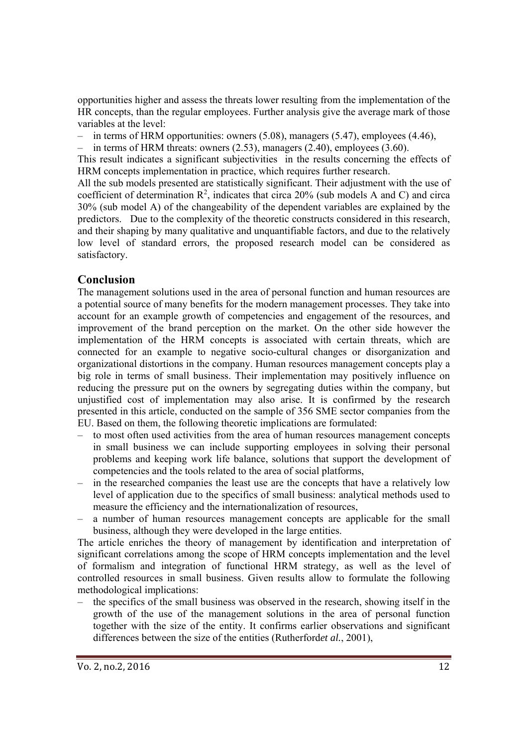opportunities higher and assess the threats lower resulting from the implementation of the HR concepts, than the regular employees. Further analysis give the average mark of those variables at the level:

– in terms of HRM opportunities: owners (5.08), managers (5.47), employees (4.46),

in terms of HRM threats: owners  $(2.53)$ , managers  $(2.40)$ , employees  $(3.60)$ .

This result indicates a significant subjectivities in the results concerning the effects of HRM concepts implementation in practice, which requires further research.

All the sub models presented are statistically significant. Their adjustment with the use of coefficient of determination  $\mathbb{R}^2$ , indicates that circa 20% (sub models A and C) and circa 30% (sub model A) of the changeability of the dependent variables are explained by the predictors. Due to the complexity of the theoretic constructs considered in this research, and their shaping by many qualitative and unquantifiable factors, and due to the relatively low level of standard errors, the proposed research model can be considered as satisfactory.

## **Conclusion**

The management solutions used in the area of personal function and human resources are a potential source of many benefits for the modern management processes. They take into account for an example growth of competencies and engagement of the resources, and improvement of the brand perception on the market. On the other side however the implementation of the HRM concepts is associated with certain threats, which are connected for an example to negative socio-cultural changes or disorganization and organizational distortions in the company. Human resources management concepts play a big role in terms of small business. Their implementation may positively influence on reducing the pressure put on the owners by segregating duties within the company, but unjustified cost of implementation may also arise. It is confirmed by the research presented in this article, conducted on the sample of 356 SME sector companies from the EU. Based on them, the following theoretic implications are formulated:

- to most often used activities from the area of human resources management concepts in small business we can include supporting employees in solving their personal problems and keeping work life balance, solutions that support the development of competencies and the tools related to the area of social platforms,
- in the researched companies the least use are the concepts that have a relatively low level of application due to the specifics of small business: analytical methods used to measure the efficiency and the internationalization of resources,
- a number of human resources management concepts are applicable for the small business, although they were developed in the large entities.

The article enriches the theory of management by identification and interpretation of significant correlations among the scope of HRM concepts implementation and the level of formalism and integration of functional HRM strategy, as well as the level of controlled resources in small business. Given results allow to formulate the following methodological implications:

– the specifics of the small business was observed in the research, showing itself in the growth of the use of the management solutions in the area of personal function together with the size of the entity. It confirms earlier observations and significant differences between the size of the entities (Rutherford*et al.*, 2001),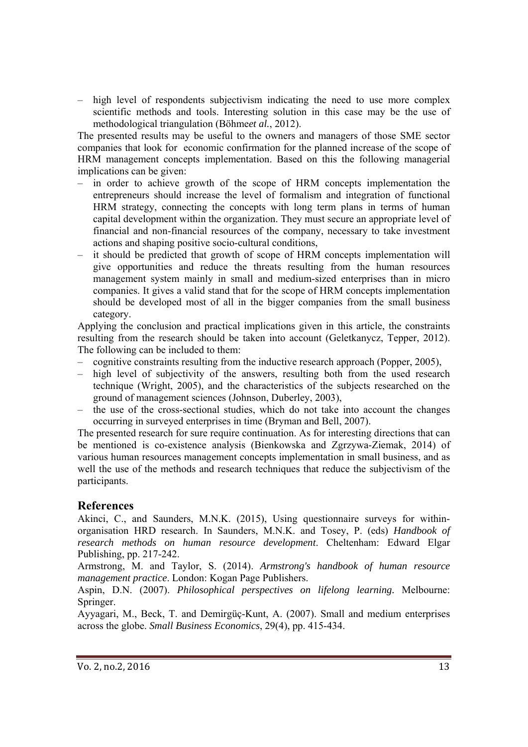– high level of respondents subjectivism indicating the need to use more complex scientific methods and tools. Interesting solution in this case may be the use of methodological triangulation (Böhme*et al.*, 2012).

The presented results may be useful to the owners and managers of those SME sector companies that look for economic confirmation for the planned increase of the scope of HRM management concepts implementation. Based on this the following managerial implications can be given:

- in order to achieve growth of the scope of HRM concepts implementation the entrepreneurs should increase the level of formalism and integration of functional HRM strategy, connecting the concepts with long term plans in terms of human capital development within the organization. They must secure an appropriate level of financial and non-financial resources of the company, necessary to take investment actions and shaping positive socio-cultural conditions,
- it should be predicted that growth of scope of HRM concepts implementation will give opportunities and reduce the threats resulting from the human resources management system mainly in small and medium-sized enterprises than in micro companies. It gives a valid stand that for the scope of HRM concepts implementation should be developed most of all in the bigger companies from the small business category.

Applying the conclusion and practical implications given in this article, the constraints resulting from the research should be taken into account (Geletkanycz, Tepper, 2012). The following can be included to them:

- cognitive constraints resulting from the inductive research approach (Popper, 2005),
- high level of subjectivity of the answers, resulting both from the used research technique (Wright, 2005), and the characteristics of the subjects researched on the ground of management sciences (Johnson, Duberley, 2003),
- the use of the cross-sectional studies, which do not take into account the changes occurring in surveyed enterprises in time (Bryman and Bell, 2007).

The presented research for sure require continuation. As for interesting directions that can be mentioned is co-existence analysis (Bienkowska and Zgrzywa-Ziemak, 2014) of various human resources management concepts implementation in small business, and as well the use of the methods and research techniques that reduce the subjectivism of the participants.

## **References**

Akinci, C., and Saunders, M.N.K. (2015), Using questionnaire surveys for withinorganisation HRD research. In Saunders, M.N.K. and Tosey, P. (eds) *Handbook of research methods on human resource development*. Cheltenham: Edward Elgar Publishing, pp. 217-242.

Armstrong, M. and Taylor, S. (2014). *Armstrong's handbook of human resource management practice*. London: Kogan Page Publishers.

Aspin, D.N. (2007). *Philosophical perspectives on lifelong learning.* Melbourne: Springer.

Ayyagari, M., Beck, T. and Demirgüç-Kunt, A. (2007). Small and medium enterprises across the globe. *Small Business Economics*, 29(4), pp. 415-434.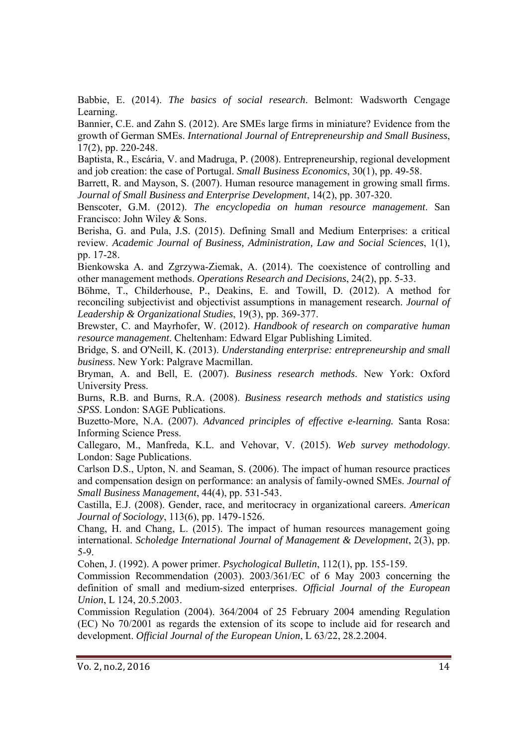Babbie, E. (2014). *The basics of social research*. Belmont: Wadsworth Cengage Learning.

Bannier, C.E. and Zahn S. (2012). Are SMEs large firms in miniature? Evidence from the growth of German SMEs. *International Journal of Entrepreneurship and Small Business*, 17(2), pp. 220-248.

Baptista, R., Escária, V. and Madruga, P. (2008). Entrepreneurship, regional development and job creation: the case of Portugal. *Small Business Economics*, 30(1), pp. 49-58.

Barrett, R. and Mayson, S. (2007). Human resource management in growing small firms. *Journal of Small Business and Enterprise Development*, 14(2), pp. 307-320.

Benscoter, G.M. (2012). *The encyclopedia on human resource management*. San Francisco: John Wiley & Sons.

Berisha, G. and Pula, J.S. (2015). Defining Small and Medium Enterprises: a critical review. *Academic Journal of Business, Administration, Law and Social Sciences*, 1(1), pp. 17-28.

Bienkowska A. and Zgrzywa-Ziemak, A. (2014). The coexistence of controlling and other management methods. *Operations Research and Decisions*, 24(2), pp. 5-33.

Böhme, T., Childerhouse, P., Deakins, E. and Towill, D. (2012). A method for reconciling subjectivist and objectivist assumptions in management research. *Journal of Leadership & Organizational Studies*, 19(3), pp. 369-377.

Brewster, C. and Mayrhofer, W. (2012). *Handbook of research on comparative human resource management*. Cheltenham: Edward Elgar Publishing Limited.

Bridge, S. and O'Neill, K. (2013). *Understanding enterprise: entrepreneurship and small business*. New York: Palgrave Macmillan.

Bryman, A. and Bell, E. (2007). *Business research methods*. New York: Oxford University Press.

Burns, R.B. and Burns, R.A. (2008). *Business research methods and statistics using SPSS*. London: SAGE Publications.

Buzetto-More, N.A. (2007). *Advanced principles of effective e-learning.* Santa Rosa: Informing Science Press.

Callegaro, M., Manfreda, K.L. and Vehovar, V. (2015). *Web survey methodology*. London: Sage Publications.

Carlson D.S., Upton, N. and Seaman, S. (2006). The impact of human resource practices and compensation design on performance: an analysis of family-owned SMEs. *Journal of Small Business Management*, 44(4), pp. 531-543.

Castilla, E.J. (2008). Gender, race, and meritocracy in organizational careers. *American Journal of Sociology*, 113(6), pp. 1479-1526.

Chang, H. and Chang, L. (2015). The impact of human resources management going international. *Scholedge International Journal of Management & Development*, 2(3), pp. 5-9.

Cohen, J. (1992). A power primer. *Psychological Bulletin*, 112(1), pp. 155-159.

Commission Recommendation (2003). 2003/361/EC of 6 May 2003 concerning the definition of small and medium-sized enterprises. *Official Journal of the European Union*, L 124, 20.5.2003.

Commission Regulation (2004). 364/2004 of 25 February 2004 amending Regulation (EC) No 70/2001 as regards the extension of its scope to include aid for research and development. *Official Journal of the European Union*, L 63/22, 28.2.2004.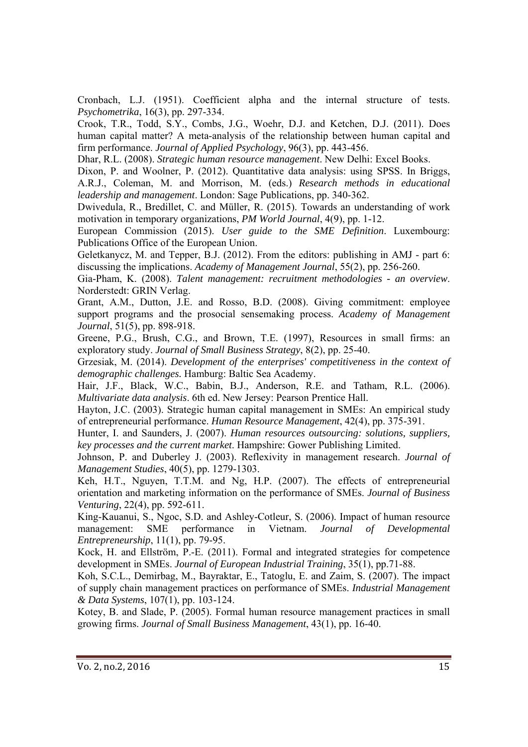Cronbach, L.J. (1951). Coefficient alpha and the internal structure of tests. *Psychometrika*, 16(3), pp. 297-334.

Crook, T.R., Todd, S.Y., Combs, J.G., Woehr, D.J. and Ketchen, D.J. (2011). Does human capital matter? A meta-analysis of the relationship between human capital and firm performance. *Journal of Applied Psychology*, 96(3), pp. 443-456.

Dhar, R.L. (2008). *Strategic human resource management*. New Delhi: Excel Books.

Dixon, P. and Woolner, P. (2012). Quantitative data analysis: using SPSS. In Briggs, A.R.J., Coleman, M. and Morrison, M. (eds.) *Research methods in educational leadership and management*. London: Sage Publications, pp. 340-362.

Dwivedula, R., Bredillet, C. and Müller, R. (2015). Towards an understanding of work motivation in temporary organizations, *PM World Journal*, 4(9), pp. 1-12.

European Commission (2015). *User guide to the SME Definition*. Luxembourg: Publications Office of the European Union.

Geletkanycz, M. and Tepper, B.J. (2012). From the editors: publishing in AMJ - part 6: discussing the implications. *Academy of Management Journal*, 55(2), pp. 256-260.

Gia-Pham, K. (2008). *Talent management: recruitment methodologies - an overview*. Norderstedt: GRIN Verlag.

Grant, A.M., Dutton, J.E. and Rosso, B.D. (2008). Giving commitment: employee support programs and the prosocial sensemaking process. *Academy of Management Journal*, 51(5), pp. 898-918.

Greene, P.G., Brush, C.G., and Brown, T.E. (1997), Resources in small firms: an exploratory study. *Journal of Small Business Strategy*, 8(2), pp. 25-40.

Grzesiak, M. (2014). *Development of the enterprises' competitiveness in the context of demographic challenges.* Hamburg: Baltic Sea Academy.

Hair, J.F., Black, W.C., Babin, B.J., Anderson, R.E. and Tatham, R.L. (2006). *Multivariate data analysis*. 6th ed. New Jersey: Pearson Prentice Hall.

Hayton, J.C. (2003). Strategic human capital management in SMEs: An empirical study of entrepreneurial performance. *Human Resource Management*, 42(4), pp. 375-391.

Hunter, I. and Saunders, J. (2007). *Human resources outsourcing: solutions, suppliers, key processes and the current market*. Hampshire: Gower Publishing Limited.

Johnson, P. and Duberley J. (2003). Reflexivity in management research. *Journal of Management Studies*, 40(5), pp. 1279-1303.

Keh, H.T., Nguyen, T.T.M. and Ng, H.P. (2007). The effects of entrepreneurial orientation and marketing information on the performance of SMEs. *Journal of Business Venturing*, 22(4), pp. 592-611.

King-Kauanui, S., Ngoc, S.D. and Ashley-Cotleur, S. (2006). Impact of human resource management: SME performance in Vietnam. *Journal of Developmental Entrepreneurship*, 11(1), pp. 79-95.

Kock, H. and Ellström, P.-E. (2011). Formal and integrated strategies for competence development in SMEs. *Journal of European Industrial Training*, 35(1), pp.71-88.

Koh, S.C.L., Demirbag, M., Bayraktar, E., Tatoglu, E. and Zaim, S. (2007). The impact of supply chain management practices on performance of SMEs. *Industrial Management & Data Systems*, 107(1), pp. 103-124.

Kotey, B. and Slade, P. (2005). Formal human resource management practices in small growing firms. *Journal of Small Business Management*, 43(1), pp. 16-40.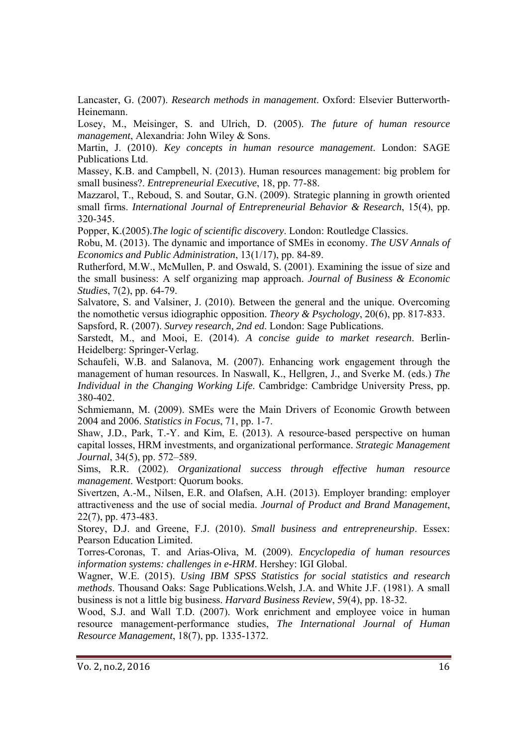Lancaster, G. (2007). *Research methods in management*. Oxford: Elsevier Butterworth-Heinemann.

Losey, M., Meisinger, S. and Ulrich, D. (2005). *The future of human resource management*, Alexandria: John Wiley & Sons.

Martin, J. (2010). *Key concepts in human resource management*. London: SAGE Publications Ltd.

Massey, K.B. and Campbell, N. (2013). Human resources management: big problem for small business?. *Entrepreneurial Executive*, 18, pp. 77-88.

Mazzarol, T., Reboud, S. and Soutar, G.N. (2009). Strategic planning in growth oriented small firms. *International Journal of Entrepreneurial Behavior & Research*, 15(4), pp. 320-345.

Popper, K.(2005).*The logic of scientific discovery*. London: Routledge Classics.

Robu, M. (2013). The dynamic and importance of SMEs in economy. *The USV Annals of Economics and Public Administration*, 13(1/17), pp. 84-89.

Rutherford, M.W., McMullen, P. and Oswald, S. (2001). Examining the issue of size and the small business: A self organizing map approach. *Journal of Business & Economic Studies*, 7(2), pp. 64-79.

Salvatore, S. and Valsiner, J. (2010). Between the general and the unique. Overcoming the nomothetic versus idiographic opposition. *Theory & Psychology*, 20(6), pp. 817-833. Sapsford, R. (2007). *Survey research, 2nd ed*. London: Sage Publications.

Sarstedt, M., and Mooi, E. (2014). *A concise guide to market research*. Berlin-Heidelberg: Springer-Verlag.

Schaufeli, W.B. and Salanova, M. (2007). Enhancing work engagement through the management of human resources. In Naswall, K., Hellgren, J., and Sverke M. (eds.) *The Individual in the Changing Working Life*. Cambridge: Cambridge University Press, pp. 380-402.

Schmiemann, M. (2009). SMEs were the Main Drivers of Economic Growth between 2004 and 2006. *Statistics in Focus*, 71, pp. 1-7.

Shaw, J.D., Park, T.-Y. and Kim, E. (2013). A resource-based perspective on human capital losses, HRM investments, and organizational performance. *Strategic Management Journal*, 34(5), pp. 572–589.

Sims, R.R. (2002). *Organizational success through effective human resource management*. Westport: Quorum books.

Sivertzen, A.-M., Nilsen, E.R. and Olafsen, A.H. (2013). Employer branding: employer attractiveness and the use of social media. *Journal of Product and Brand Management*, 22(7), pp. 473-483.

Storey, D.J. and Greene, F.J. (2010). *Small business and entrepreneurship*. Essex: Pearson Education Limited.

Torres-Coronas, T. and Arias-Oliva, M. (2009). *Encyclopedia of human resources information systems: challenges in e-HRM*. Hershey: IGI Global.

Wagner, W.E. (2015). *Using IBM SPSS Statistics for social statistics and research methods*. Thousand Oaks: Sage Publications.Welsh, J.A. and White J.F. (1981). A small business is not a little big business. *Harvard Business Review*, 59(4), pp. 18-32.

Wood, S.J. and Wall T.D. (2007). Work enrichment and employee voice in human resource management-performance studies, *The International Journal of Human Resource Management*, 18(7), pp. 1335-1372.